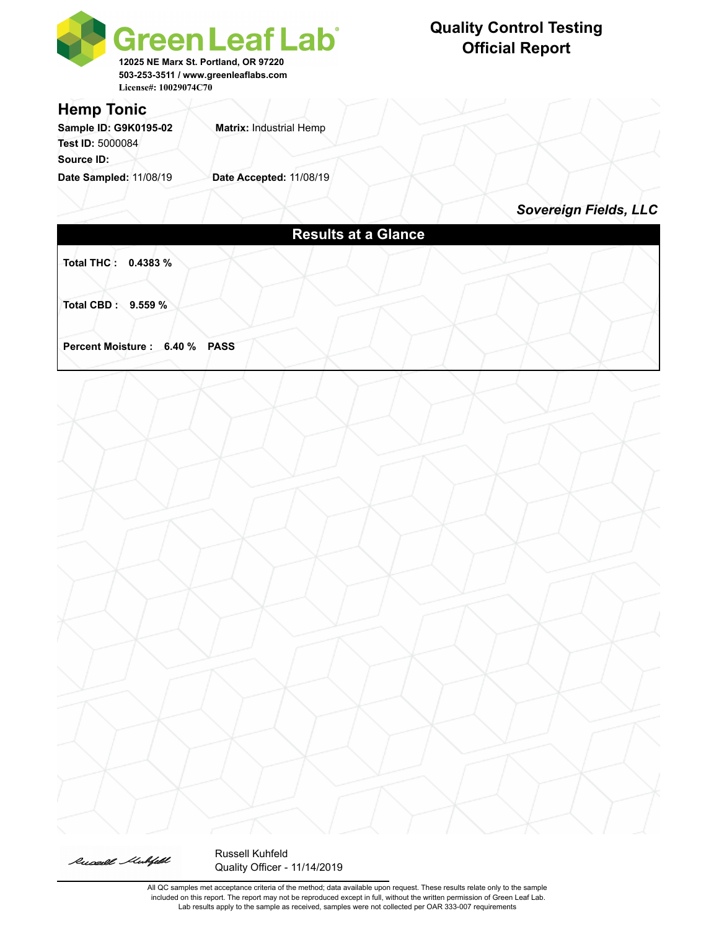

### **Quality Control Testing Official Report**

*Sovereign Fields, LLC*

# **Total THC : 0.4383 % Total CBD : 9.559 % Percent Moisture : 6.40 % PASS**



Russell Kuhfeld Quality Officer - 11/14/2019

All QC samples met acceptance criteria of the method; data available upon request. These results relate only to the sample included on this report. The report may not be reproduced except in full, without the written permission of Green Leaf Lab. Lab results apply to the sample as received, samples were not collected per OAR 333-007 requirements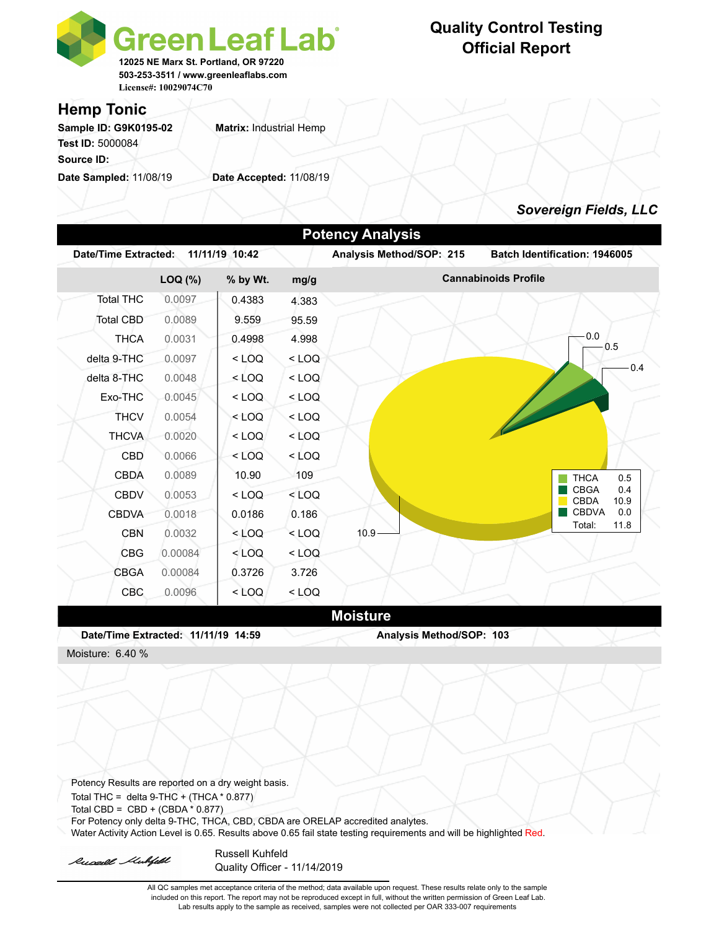

## **Quality Control Testing Official Report**

### **Hemp Tonic**

Sample ID: G9K0195-02 **Matrix: Industrial Hemp Test ID:** 5000084 **Source ID:** 

**Date Sampled:** 11/08/19 **Date Accepted:** 11/08/19

### *Sovereign Fields, LLC*

|                                                                                                      |         |                |         | <b>Potency Analysis</b>  |                                           |
|------------------------------------------------------------------------------------------------------|---------|----------------|---------|--------------------------|-------------------------------------------|
| Date/Time Extracted:                                                                                 |         | 11/11/19 10:42 |         | Analysis Method/SOP: 215 | Batch Identification: 1946005             |
|                                                                                                      | LOQ (%) | % by Wt.       | mg/g    |                          | <b>Cannabinoids Profile</b>               |
| <b>Total THC</b>                                                                                     | 0.0097  | 0.4383         | 4.383   |                          |                                           |
| <b>Total CBD</b>                                                                                     | 0.0089  | 9.559          | 95.59   |                          |                                           |
| <b>THCA</b>                                                                                          | 0.0031  | 0.4998         | 4.998   |                          | 0.0<br>0.5                                |
| delta 9-THC                                                                                          | 0.0097  | < LOQ          | $<$ LOQ |                          |                                           |
| delta 8-THC                                                                                          | 0.0048  | < LOQ          | $<$ LOQ |                          | 0.4                                       |
| Exo-THC                                                                                              | 0.0045  | $<$ LOQ        | $<$ LOQ |                          |                                           |
| <b>THCV</b>                                                                                          | 0.0054  | $<$ LOQ        | $<$ LOQ |                          |                                           |
| <b>THCVA</b>                                                                                         | 0.0020  | $<$ LOQ        | $<$ LOQ |                          |                                           |
| CBD                                                                                                  | 0.0066  | $<$ LOQ        | $<$ LOQ |                          |                                           |
| <b>CBDA</b>                                                                                          | 0.0089  | 10.90          | 109     |                          | <b>THCA</b><br>0.5                        |
| <b>CBDV</b>                                                                                          | 0.0053  | < LOQ          | $<$ LOQ |                          | <b>CBGA</b><br>0.4<br><b>CBDA</b><br>10.9 |
| <b>CBDVA</b>                                                                                         | 0.0018  | 0.0186         | 0.186   |                          | <b>CBDVA</b><br>0.0                       |
| <b>CBN</b>                                                                                           | 0.0032  | $<$ LOQ        | $<$ LOQ | 10.9 <sub>1</sub>        | 11.8<br>Total:                            |
| <b>CBG</b>                                                                                           | 0.00084 | < LOQ          | $<$ LOQ |                          |                                           |
| <b>CBGA</b>                                                                                          | 0.00084 | 0.3726         | 3.726   |                          |                                           |
| <b>CBC</b>                                                                                           | 0.0096  | < LOQ          | $<$ LOQ |                          |                                           |
|                                                                                                      |         |                |         | <b>Moisture</b>          |                                           |
| Date/Time Extracted: 11/11/19 14:59                                                                  |         |                |         | Analysis Method/SOP: 103 |                                           |
| Moisture: 6.40 %                                                                                     |         |                |         |                          |                                           |
|                                                                                                      |         |                |         |                          |                                           |
|                                                                                                      |         |                |         |                          |                                           |
|                                                                                                      |         |                |         |                          |                                           |
| Potency Results are reported on a dry weight basis.<br>Total THC = delta $9$ -THC + (THCA $*$ 0.877) |         |                |         |                          |                                           |
| Total CBD = CBD + (CBDA * 0.877)                                                                     |         |                |         |                          |                                           |

For Potency only delta 9-THC, THCA, CBD, CBDA are ORELAP accredited analytes.

Water Activity Action Level is 0.65. Results above 0.65 fail state testing requirements and will be highlighted Red.

Russell Mulifeld

Russell Kuhfeld Quality Officer - 11/14/2019

All QC samples met acceptance criteria of the method; data available upon request. These results relate only to the sample included on this report. The report may not be reproduced except in full, without the written permission of Green Leaf Lab. Lab results apply to the sample as received, samples were not collected per OAR 333-007 requirements